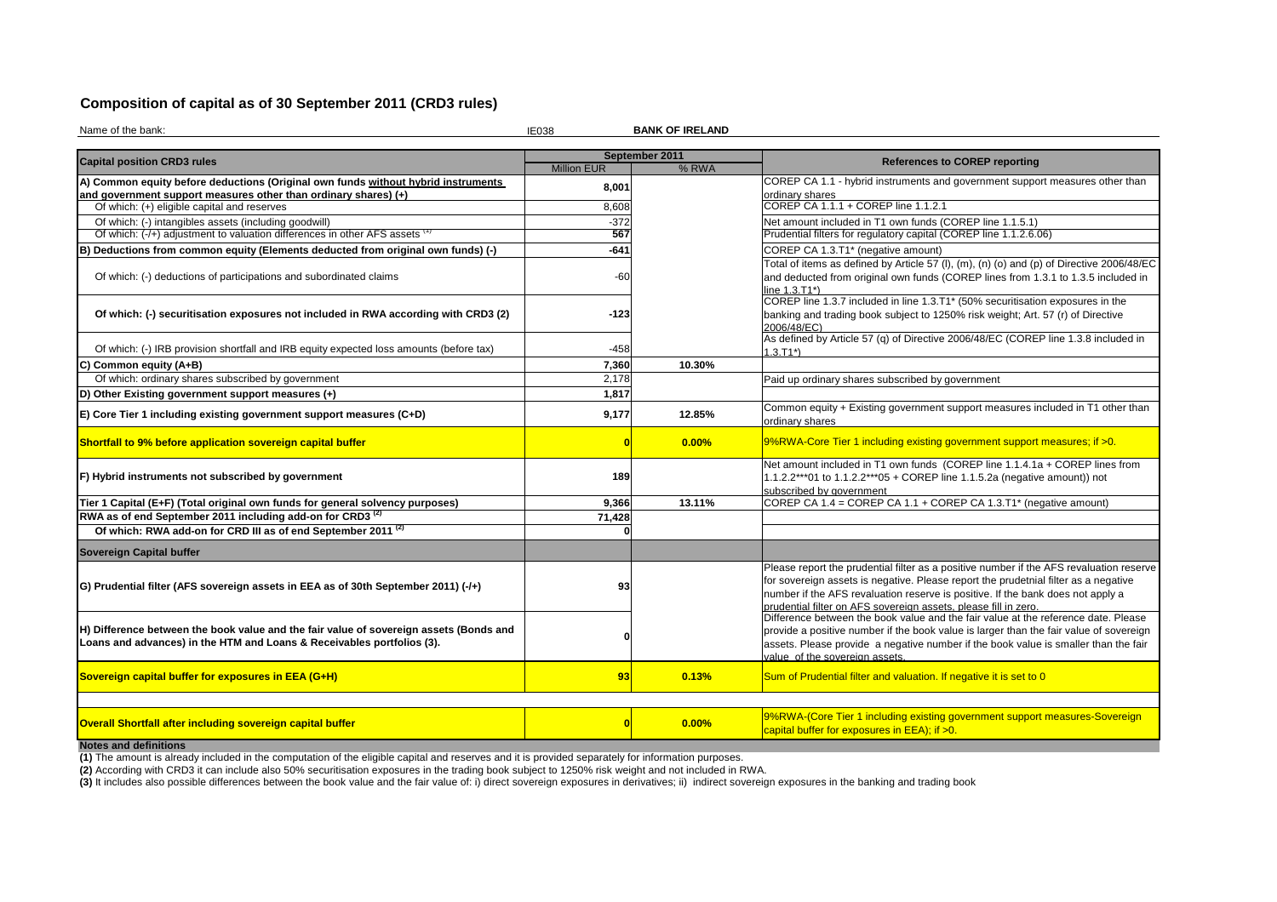# **Composition of capital as of 30 September 2011 (CRD3 rules)**

Name of the bank:

 IE038**BANK OF IRELAND**

|                                                                                                                                                                  |                    | September 2011 |                                                                                                                                                                                                                                                                                                                                      |  |  |  |
|------------------------------------------------------------------------------------------------------------------------------------------------------------------|--------------------|----------------|--------------------------------------------------------------------------------------------------------------------------------------------------------------------------------------------------------------------------------------------------------------------------------------------------------------------------------------|--|--|--|
| <b>Capital position CRD3 rules</b>                                                                                                                               | <b>Million EUR</b> | % RWA          | <b>References to COREP reporting</b>                                                                                                                                                                                                                                                                                                 |  |  |  |
| A) Common equity before deductions (Original own funds without hybrid instruments                                                                                | 8,001              |                | COREP CA 1.1 - hybrid instruments and government support measures other than                                                                                                                                                                                                                                                         |  |  |  |
| and government support measures other than ordinary shares) (+)                                                                                                  |                    |                | ordinary shares                                                                                                                                                                                                                                                                                                                      |  |  |  |
| Of which: (+) eligible capital and reserves                                                                                                                      | 8,608              |                | COREP CA 1.1.1 + COREP line 1.1.2.1                                                                                                                                                                                                                                                                                                  |  |  |  |
| Of which: (-) intangibles assets (including goodwill)                                                                                                            | $-372$             |                | Net amount included in T1 own funds (COREP line 1.1.5.1)                                                                                                                                                                                                                                                                             |  |  |  |
| Of which: (-/+) adjustment to valuation differences in other AFS assets \                                                                                        | 567                |                | Prudential filters for regulatory capital (COREP line 1.1.2.6.06)                                                                                                                                                                                                                                                                    |  |  |  |
| B) Deductions from common equity (Elements deducted from original own funds) (-)                                                                                 | -641               |                | COREP CA 1.3.T1* (negative amount)                                                                                                                                                                                                                                                                                                   |  |  |  |
| Of which: (-) deductions of participations and subordinated claims                                                                                               | $-60$              |                | Total of items as defined by Article 57 (I), (m), (n) (o) and (p) of Directive 2006/48/EC<br>and deducted from original own funds (COREP lines from 1.3.1 to 1.3.5 included in<br>line 1.3.T1*)                                                                                                                                      |  |  |  |
| Of which: (-) securitisation exposures not included in RWA according with CRD3 (2)                                                                               | $-123$             |                | COREP line 1.3.7 included in line 1.3.T1* (50% securitisation exposures in the<br>banking and trading book subject to 1250% risk weight; Art. 57 (r) of Directive<br>2006/48/EC)                                                                                                                                                     |  |  |  |
| Of which: (-) IRB provision shortfall and IRB equity expected loss amounts (before tax)                                                                          | -458               |                | As defined by Article 57 (q) of Directive 2006/48/EC (COREP line 1.3.8 included in<br>$1.3.T1*)$                                                                                                                                                                                                                                     |  |  |  |
| C) Common equity (A+B)                                                                                                                                           | 7,360              | 10.30%         |                                                                                                                                                                                                                                                                                                                                      |  |  |  |
| Of which: ordinary shares subscribed by government                                                                                                               | 2,178              |                | Paid up ordinary shares subscribed by government                                                                                                                                                                                                                                                                                     |  |  |  |
| D) Other Existing government support measures (+)                                                                                                                | 1,817              |                |                                                                                                                                                                                                                                                                                                                                      |  |  |  |
| E) Core Tier 1 including existing government support measures (C+D)                                                                                              | 9,177              | 12.85%         | Common equity + Existing government support measures included in T1 other than<br>ordinary shares                                                                                                                                                                                                                                    |  |  |  |
| Shortfall to 9% before application sovereign capital buffer                                                                                                      |                    | 0.00%          | 9%RWA-Core Tier 1 including existing government support measures; if >0.                                                                                                                                                                                                                                                             |  |  |  |
| F) Hybrid instruments not subscribed by government                                                                                                               | 189                |                | Net amount included in T1 own funds (COREP line 1.1.4.1a + COREP lines from<br>1.1.2.2***01 to 1.1.2.2***05 + COREP line 1.1.5.2a (negative amount)) not<br>subscribed by government                                                                                                                                                 |  |  |  |
| Tier 1 Capital (E+F) (Total original own funds for general solvency purposes)                                                                                    | 9,366              | 13.11%         | COREP CA 1.4 = COREP CA 1.1 + COREP CA 1.3.T1* (negative amount)                                                                                                                                                                                                                                                                     |  |  |  |
| RWA as of end September 2011 including add-on for CRD3 <sup>(2)</sup>                                                                                            | 71,428             |                |                                                                                                                                                                                                                                                                                                                                      |  |  |  |
| Of which: RWA add-on for CRD III as of end September 2011 <sup>(2)</sup>                                                                                         |                    |                |                                                                                                                                                                                                                                                                                                                                      |  |  |  |
| <b>Sovereign Capital buffer</b>                                                                                                                                  |                    |                |                                                                                                                                                                                                                                                                                                                                      |  |  |  |
| G) Prudential filter (AFS sovereign assets in EEA as of 30th September 2011) (-/+)                                                                               | 93                 |                | Please report the prudential filter as a positive number if the AFS revaluation reserve<br>for sovereign assets is negative. Please report the prudetnial filter as a negative<br>number if the AFS revaluation reserve is positive. If the bank does not apply a<br>prudential filter on AFS sovereign assets, please fill in zero. |  |  |  |
| H) Difference between the book value and the fair value of sovereign assets (Bonds and<br>Loans and advances) in the HTM and Loans & Receivables portfolios (3). |                    |                | Difference between the book value and the fair value at the reference date. Please<br>provide a positive number if the book value is larger than the fair value of sovereign<br>assets. Please provide a negative number if the book value is smaller than the fair<br>value of the sovereign assets.                                |  |  |  |
| Sovereign capital buffer for exposures in EEA (G+H)                                                                                                              | 93                 | 0.13%          | Sum of Prudential filter and valuation. If negative it is set to 0                                                                                                                                                                                                                                                                   |  |  |  |
|                                                                                                                                                                  |                    |                |                                                                                                                                                                                                                                                                                                                                      |  |  |  |
| Overall Shortfall after including sovereign capital buffer                                                                                                       | Ω                  | 0.00%          | 9%RWA-(Core Tier 1 including existing government support measures-Sovereign<br>capital buffer for exposures in EEA); if >0.                                                                                                                                                                                                          |  |  |  |
| Notos and definitions                                                                                                                                            |                    |                |                                                                                                                                                                                                                                                                                                                                      |  |  |  |

**Notes and definitions**<br>(1) The amount is already included in the computation of the eligible capital and reserves and it is provided separately for information purposes.<br><mark>(2)</mark> According with CRD3 it can include also 50% s **(1)** The amount is already included in the computation of the eligible capital and reserves and it is provided separately for information purposes.

(3) It includes also possible differences between the book value and the fair value of: i) direct sovereign exposures in derivatives; ii) indirect sovereign exposures in the banking and trading book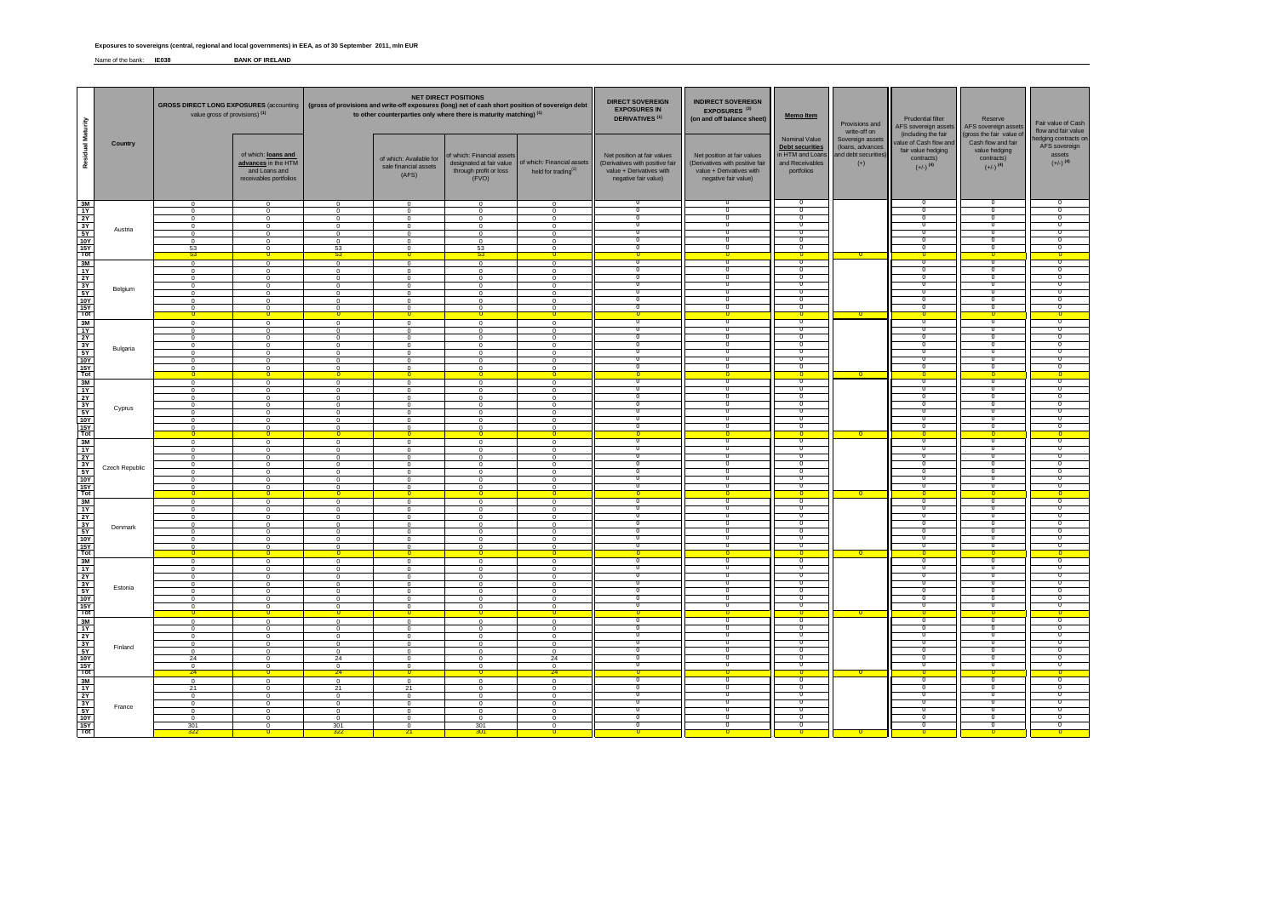#### **Exposures to sovereigns (central, regional and local governments) in EEA, as of 30 September 2011, mln EUR**

Name of the bank: **IE038 BANK OF IRELAND**

|                              |                | value gross of provisions) (1)                                                                                        |                                                                                                      | <b>NET DIRECT POSITIONS</b><br>GROSS DIRECT LONG EXPOSURES (accounting   (gross of provisions and write-off exposures (long) net of cash short position of sovereign debt<br>to other counterparties only where there is maturity matching) (1) |                                                                                                                       |                                                                                                     | <b>DIRECT SOVEREIGN</b><br><b>INDIRECT SOVEREIGN</b><br><b>EXPOSURES IN</b><br>EXPOSURES <sup>(3)</sup><br><b>DERIVATIVES<sup>(1)</sup></b><br>(on and off balance sheet) |                                                                                                                    | Memo Item                                                                                                          | Provisions and<br>write-off on                                                               | <b>Prudential filter</b><br>AFS sovereign assets<br>(including the fair | Reserve<br>AFS sovereign assets                                                      | Fair value of Cash<br>flow and fair value                                                              |                                                                          |
|------------------------------|----------------|-----------------------------------------------------------------------------------------------------------------------|------------------------------------------------------------------------------------------------------|-------------------------------------------------------------------------------------------------------------------------------------------------------------------------------------------------------------------------------------------------|-----------------------------------------------------------------------------------------------------------------------|-----------------------------------------------------------------------------------------------------|---------------------------------------------------------------------------------------------------------------------------------------------------------------------------|--------------------------------------------------------------------------------------------------------------------|--------------------------------------------------------------------------------------------------------------------|----------------------------------------------------------------------------------------------|-------------------------------------------------------------------------|--------------------------------------------------------------------------------------|--------------------------------------------------------------------------------------------------------|--------------------------------------------------------------------------|
| <b>Residual</b>              | Country        |                                                                                                                       | of which: loans and<br>advances in the HTM<br>and Loans and<br>receivables portfolios                |                                                                                                                                                                                                                                                 | of which: Available for<br>sale financial assets<br>(AFS)                                                             | of which: Financial assets<br>designated at fair value<br>through profit or loss<br>(FVO)           | of which: Financial assets<br>held for trading <sup>(2)</sup>                                                                                                             | Net position at fair values<br>(Derivatives with positive fair<br>value + Derivatives with<br>negative fair value) | Net position at fair values<br>(Derivatives with positive fair<br>value + Derivatives with<br>negative fair value) | Nominal Value<br><b>Debt securities</b><br>in HTM and Loans<br>and Receivables<br>portfolios | Sovereign assets<br>(loans, advances<br>and debt securities)<br>$(+)$   | value of Cash flow and<br>fair value hedging<br>contracts)<br>$(+/-)$ <sup>(4)</sup> | gross the fair value of<br>Cash flow and fair<br>value hedging<br>contracts)<br>$(+/-)$ <sup>(4)</sup> | edging contracts on<br>AFS sovereign<br>assets<br>$(+/-)$ <sup>(4)</sup> |
| gt의 의원 정 국 을                 | Austria        | $\overline{0}$<br>$\Omega$<br>$\Omega$<br>$\mathbf 0$<br>$^{\circ}$<br>$\Omega$<br>53<br>53                           | $\overline{0}$<br>$\mathbf 0$<br>$^{\circ}$<br>$\mathbf 0$<br>$^{\circ}$<br>$\Omega$<br>$\mathbf{0}$ | $\overline{0}$<br>$\mathbf 0$<br>$\Omega$<br>$\mathbf 0$<br>$\mathbf 0$<br>$\overline{0}$<br>53<br>53                                                                                                                                           | $\overline{0}$<br>$\,0\,$<br>$\Omega$<br>$\,0\,$<br>$\overline{0}$<br>$\Omega$<br>$\mathbf{0}$                        | $\mathbf 0$<br>$^{\circ}$<br>$\mathbf 0$<br>$^{\circ}$<br>$\Omega$<br>53<br>53                      | $\overline{0}$<br>$\Omega$<br>$\Omega$<br>$\mathbf 0$<br>$\Omega$<br>$\Omega$<br>$^{\circ}$                                                                               | ᠊ᢆ<br>70<br>ᢦ<br>n<br>T<br>᠊ᢆ                                                                                      | 0<br>᠊ᢅᢆ<br>᠊ᠣ<br>0<br>᠊ᠣ<br>0<br>᠊ᢅᢆ<br>$\overline{0}$                                                            | $^{\circ}$<br>70<br>σ<br>n<br>σ<br>$^{\circ}$                                                |                                                                         | ᠊ᢆ<br>70<br>ה-<br>╖<br>᠊ᢆ                                                            | 70<br>╖<br>Ō<br>n<br>Ō<br>╖                                                                            | -0<br>᠊ᢐ<br>π<br>-0<br>π<br>-0                                           |
| gl의의 원 <mark>이 이 의</mark>    | Belgium        | $\mathbf 0$<br>$\Omega$<br>$\mathbf{0}$<br>$\mathbf 0$<br>$\Omega$<br>$\mathbf{0}$<br>$\Omega$                        | $\mathbf 0$<br>$^{\circ}$<br>$\mathbf{0}$<br>$\mathbf 0$<br>$\Omega$<br>$\mathbf{0}$<br>$^{\circ}$   | $\mathbf 0$<br>$\Omega$<br>$\mathbf{0}$<br>$\mathbf 0$<br>$\overline{0}$<br>$\circ$<br>$^{\circ}$                                                                                                                                               | $\,0\,$<br>$\Omega$<br>$\overline{0}$<br>$\mathbf 0$<br>$\Omega$<br>$\Omega$<br>$^{\circ}$<br>$\Omega$                | $\mathbf 0$<br>$\Omega$<br>$^{\circ}$<br>$\mathbf 0$<br>$\Omega$<br>0<br>0                          | $\mathbf{0}$<br>$\Omega$<br>$\overline{0}$<br>$\mathbf{0}$<br>$\Omega$<br>$\mathbf{0}$<br>$\Omega$<br>$\Omega$                                                            | ᠊ᢐ<br>╖<br>Ο<br>᠊ᢆ<br>ᢦ<br>᠊ᢆ<br>n                                                                                 | ᠊ᢐ<br>᠊ᢅᢆ<br>⊽<br>᠊ᢅᢆ<br>0<br>᠊ᢅᢆ<br>᠊ᢅᢆ<br>$\overline{\mathbf{0}}$                                                | $^{\circ}$<br>╖<br>σ<br>$\Omega$<br>σ<br>$^{\circ}$<br>╖<br>$\Omega$                         |                                                                         | -0<br>ה-<br>╖<br>$\Omega$<br>ᢦ<br>-0<br>╖<br>-o                                      | O<br>╖<br>ი<br>$\Omega$<br>Ō<br>-0<br>ח<br>n                                                           | n<br>- 0<br>- 0<br>᠊ᢐ<br>$\Omega$<br>n<br>$\overline{0}$                 |
| gl의의 의식                      | Bulgaria       | $\circ$<br>$\Omega$<br>$^{\circ}$<br>$\Omega$<br>$\Omega$<br>$\Omega$<br>$\Omega$                                     | $\circ$<br>$\Omega$<br>$\Omega$<br>$\Omega$<br>$\Omega$<br>$\Omega$<br>$\Omega$                      | $\overline{0}$<br>$\Omega$<br>$\mathbf 0$<br>$\Omega$<br>$\mathbf 0$<br>$\Omega$<br>$^{\circ}$<br>$\Omega$                                                                                                                                      | $\overline{\phantom{0}}$<br>$\sqrt{ }$<br>$\mathbf 0$<br>$\Omega$<br>$\overline{0}$<br>$\Omega$<br>$\Omega$           | $\overline{0}$<br>$\Omega$<br>$\Omega$<br>$\Omega$<br>$\Omega$<br>$\Omega$<br>$\Omega$              | $\mathbf 0$<br>$\sqrt{2}$<br>$\mathbf{0}$<br>$\Omega$<br>$\mathbf{0}$<br>$\Omega$<br>$\Omega$<br>$\mathbf{0}$                                                             | $^{\circ}$<br>n<br>n<br>᠊ᢆ<br>n<br>᠊ᢆ<br>╖                                                                         | ᠊᠊ᢆ<br>᠊ᢅᢆ<br>0<br>᠊ᢅᢆ<br>⊽<br>$^{\circ}$<br>0<br>$\mathbf 0$                                                      | $^{\circ}$<br>╖<br>T<br>$^{\circ}$<br>$^{\circ}$<br>-0<br>᠊ᢐ<br>$\mathbf{0}$                 |                                                                         | -0<br>ה-<br>╖<br>-0<br>-0<br>$\overline{\phantom{a}}$<br>$\Omega$                    | n.<br>ח<br>Ō<br>-0<br>n<br>70<br>Ō                                                                     | -0<br>π<br>-0<br>-0<br>᠊ᢐ                                                |
| gl의의생수                       | Cyprus         | $\Omega$<br>$\overline{0}$<br>$\mathbf 0$<br>$^{\circ}$<br>$\overline{0}$<br>$^{\circ}$<br>$\Omega$<br>$\overline{0}$ | $\Omega$<br>$\mathbf{0}$<br>$\mathbf 0$<br>$^{\circ}$<br>$\overline{0}$<br>$\mathbf{0}$<br>$\Omega$  | $\overline{0}$<br>$\mathbf{0}$<br>$\mathbf 0$<br>$^{\circ}$<br>$\overline{0}$<br>$\overline{0}$<br>$\mathbf 0$<br>n                                                                                                                             | $\overline{0}$<br>$\overline{0}$<br>$\Omega$<br>$^{\circ}$<br>$\overline{0}$<br>$\overline{0}$<br>$\overline{0}$<br>n | $\Omega$<br>$^{\circ}$<br>$\mathbf 0$<br>0<br>$\overline{0}$<br>0<br>0<br>n                         | $\Omega$<br>$\overline{0}$<br>$\mathbf 0$<br>$^{\circ}$<br>$\overline{0}$<br>$\mathbf{0}$<br>$\mathbf{0}$<br>$\Omega$                                                     | ╖<br>ᢦ<br>᠊ᢆ<br>π<br>᠊ᢆ<br>╖<br>n                                                                                  | ᠊᠊ᢆᢆ<br>0<br>᠊ᢅᢆ<br>᠊ᢆᠭ<br>᠊ᢅᢆ<br>᠊ᢅᢆ<br>$\overline{0}$<br>$\overline{0}$                                          | ╖<br>᠊ᢐ<br>᠊᠊᠌ᢆ<br>70<br>᠊᠊᠌ᢆ<br>70<br>70<br>$\Omega$                                        | n                                                                       | ᢦ<br>-0<br>ה-<br>᠊ᢅ<br>╖<br>70<br>-o                                                 | ח<br>Ō<br>ᄀ ೧<br>70<br>ᄀ<br>n<br>╖<br>n                                                                | ᠊ᢐ<br>-0<br>-0<br>70<br>n<br>n                                           |
| 화식의 사이                       | Czech Republic | $\Omega$<br>$^{\circ}$<br>$\Omega$<br>$\overline{0}$<br>$\mathbf{0}$<br>$\Omega$<br>$\Omega$                          | $\Omega$<br>$^{\circ}$<br>$^{\circ}$<br>$\Omega$<br>$\mathbf{0}$<br>$^{\circ}$<br>$\Omega$           | $\Omega$<br>$\mathbf 0$<br>$\Omega$<br>$^{\circ}$<br>$^{\circ}$<br>$\Omega$<br>$\Omega$                                                                                                                                                         | $\Omega$<br>$\overline{0}$<br>$\Omega$<br>$\overline{0}$<br>$\overline{0}$<br>$\Omega$<br>$\Omega$                    | $\Omega$<br>$\mathbf 0$<br>$^{\circ}$<br>0<br>$^{\circ}$<br>$\Omega$                                | $\Omega$<br>$\mathbf 0$<br>$\Omega$<br>$\mathbf{0}$<br>$\Omega$<br>$\Omega$                                                                                               | n<br>╖<br>ה-<br>╖<br>╥<br>Ο<br>᠊ᢆ                                                                                  | $\overline{\mathfrak{o}}$<br>0<br>-0<br>0<br>╖<br>⊽<br>᠊ᢅ᠓                                                         | $^{\circ}$<br>᠊<br>╖<br>σ<br>70<br>σ<br>$^{\circ}$                                           |                                                                         | ה-<br>70<br>ה-<br>70<br>╖<br>╖<br>-0                                                 | 70<br>Ο<br>╖<br>Ō<br>╖<br>Ο<br>-0                                                                      | n<br>70<br>- 0<br>᠊ᢐ<br>- 11<br>- 0                                      |
| gl의의 정치                      | Denmark        | $\overline{0}$<br>$^{\circ}$<br>$\Omega$<br>$\circ$<br>$\Omega$<br>$\Omega$<br>$^{\circ}$                             | $\overline{0}$<br>$\mathbf 0$<br>$\Omega$<br>$\mathbf 0$<br>$\Omega$<br>$\Omega$<br>$^{\circ}$       | $\mathbf 0$<br>$\mathbf 0$<br>$\Omega$<br>$\mathbf 0$<br>$\Omega$<br>$\Omega$<br>$\mathbf 0$                                                                                                                                                    | $\overline{0}$<br>$\,0\,$<br>$\Omega$<br>$\,0\,$<br>$\Omega$<br>$\Omega$<br>$\overline{0}$                            | $^{\circ}$<br>$\Omega$<br>$\mathbf 0$<br>$\Omega$<br>$\Omega$<br>$\mathbf 0$                        | $\overline{0}$<br>$\Omega$<br>$\sqrt{2}$<br>$\mathbf{0}$<br>$\Omega$<br>$\Omega$<br>$\mathbf 0$                                                                           | n<br>᠊ᢆ<br>70<br>n<br>-0<br>n<br>᠊ᢆ                                                                                | n<br>᠊ᢐ<br>᠊ᢅᢆ<br>᠊ᠣ<br>⊽<br>᠊ᢅ᠓<br>⊽<br>᠊ᢅᢆ                                                                       | $\Omega$<br>$^{\circ}$<br>70<br>70<br>$\overline{0}$<br>n<br>$^{\circ}$                      |                                                                         | -0<br>70<br>-0<br>-0                                                                 | 70<br>-0<br>╖<br>'n<br>-0<br>'n<br>-0                                                                  | -0<br>70<br>- 0<br>-0                                                    |
| gl의의 정치                      | Estonia        | $\mathbf 0$<br>$\Omega$<br>$^{\circ}$<br>$\mathbf 0$<br>$\mathbf{0}$<br>$\mathbf{0}$<br>$\Omega$                      | $\mathbf 0$<br>$\Omega$<br>$\mathbf{0}$<br>$\Omega$<br>$\Omega$<br>$\Omega$<br>$^{\circ}$            | $\mathbf 0$<br>$\Omega$<br>$\mathbf 0$<br>$\Omega$<br>$\mathbf 0$<br>$\circ$<br>$^{\circ}$                                                                                                                                                      | $\,0\,$<br>$\Omega$<br>$\overline{0}$<br>$\Omega$<br>$\Omega$<br>$\Omega$<br>$^{\circ}$                               | $\mathbf 0$<br>$\Omega$<br>$\Omega$<br>$\Omega$<br>$\Omega$<br>$\Omega$<br>0                        | $\overline{0}$<br>$\Omega$<br>$\mathbf{0}$<br>$\Omega$<br>$\Omega$<br>$\Omega$<br>$\Omega$                                                                                | ᠊ᢐ<br>╖<br>Ο<br>᠊ᢆ<br>᠊ᢆ<br>᠊ᢆ<br>-0                                                                               | ᠊ᢐ<br>-0<br>᠊᠐<br>$\overline{\mathfrak{o}}$<br>᠊ᢅᢆ<br>᠊ᢅᢆ<br>᠊ᢅᢆ                                                   | $^{\circ}$<br>᠊᠊᠌ᢆ<br>σ<br>$^{\circ}$<br>70<br>$^{\circ}$<br>╖                               |                                                                         | ╖<br>╖<br>-0<br>᠊ᢅ<br>-0<br>ה-                                                       | 0<br>╖<br>ი<br>-0<br>╖<br>-0<br>ח                                                                      | -0<br>-0<br>70<br>-0                                                     |
| gl의의 정치                      | Finland        | $\circ$<br>$\Omega$<br>$\circ$<br>$\Omega$<br>$\Omega$<br>24<br>$\Omega$                                              | $\circ$<br>$\Omega$<br>$\mathbf 0$<br>$^{\circ}$<br>$\Omega$<br>$\Omega$<br>$^{\circ}$               | $\overline{0}$<br>$\circ$<br>$\Omega$<br>$\mathbf 0$<br>$\Omega$<br>$\mathbf 0$<br>24<br>$^{\circ}$                                                                                                                                             | $\Omega$<br>$\overline{\phantom{0}}$<br>$\Omega$<br>$\,0\,$<br>$\Omega$<br>$\overline{0}$<br>$\mathbf{0}$<br>$\Omega$ | $\Omega$<br>$\mathbf 0$<br>$\Omega$<br>$\Omega$<br>$\Omega$<br>$^{\circ}$<br>$\Omega$<br>$^{\circ}$ | $\Omega$<br>$\mathbf 0$<br>$\Omega$<br>$\mathbf 0$<br>$\Omega$<br>$\overline{0}$<br>24<br>$^{\circ}$                                                                      | ᠊ᢆ<br>-0<br>╖<br>╖<br>n<br>᠊ᢆ<br>╖                                                                                 | $\overline{\mathbf{0}}$<br>᠊᠊ᢆ<br>᠊ᢅᢆ<br>⊽<br>╖<br>᠊᠐<br>᠊ᢅᢆ<br>⊽                                                  | $\overline{0}$<br>$^{\circ}$<br>╖<br>T<br>- 0<br>σ<br>-0<br>᠊ᢐ                               |                                                                         | $\overline{0}$<br>᠊᠊ᢆᢐ<br>- 0<br>70<br>- 7<br>70<br>-0<br>ᢦ                          | $\overline{0}$<br>-0<br>ח<br>Ō<br>╖<br>τ<br>-0<br>ი                                                    | $\Omega$<br>-0<br>π<br>- 0<br>-0<br>᠊ᢐ                                   |
| gl의 의 서 기<br>이 이 이 이 이 이 있다. | France         | 24<br>$\overline{0}$<br>21<br>$\mathbf 0$<br>$^{\circ}$<br>$\Omega$<br>$^{\circ}$<br>301                              | $\overline{0}$<br>$\Omega$<br>$\mathbf 0$<br>$^{\circ}$<br>$\Omega$<br>$\mathbf{0}$<br>$\Omega$      | 24<br>$\overline{0}$<br>21<br>$\mathbf 0$<br>$^{\circ}$<br>$\mathbf 0$<br>$\overline{0}$<br>301                                                                                                                                                 | $\overline{0}$<br>21<br>$\,0\,$<br>$\Omega$<br>$\,0\,$<br>$\overline{0}$<br>$\mathbf{0}$                              | $\overline{0}$<br>$\Omega$<br>$\Omega$<br>$\Omega$<br>$\mathbf 0$<br>$\overline{0}$<br>301<br>301   | 24<br>$\overline{0}$<br>$\Omega$<br>$\mathbf 0$<br>$\Omega$<br>$\Omega$<br>$\overline{0}$<br>$\mathbf{0}$                                                                 | ┱<br>ᢦ<br>᠊ᢆ<br>-0<br>70<br>╖<br>n                                                                                 | o<br>᠊᠊ᢆᢆ<br>$\overline{\mathfrak{o}}$<br>᠊ᢆ<br>᠊ᢅᢆ<br>⊽<br>᠊ᢆ<br>᠊᠐<br>n                                          | $\Omega$<br>-0<br>$\overline{\mathfrak{o}}$<br>᠊᠊᠌ᢆ<br>╖<br>T<br>70<br>70                    |                                                                         | $\Omega$<br>╖<br>᠊ᢆ<br>╖                                                             | ╖<br>ი<br>ᄀ<br>70<br>70<br>╖<br>╖                                                                      | ᠊ᢐ<br>-0<br>π<br>-0                                                      |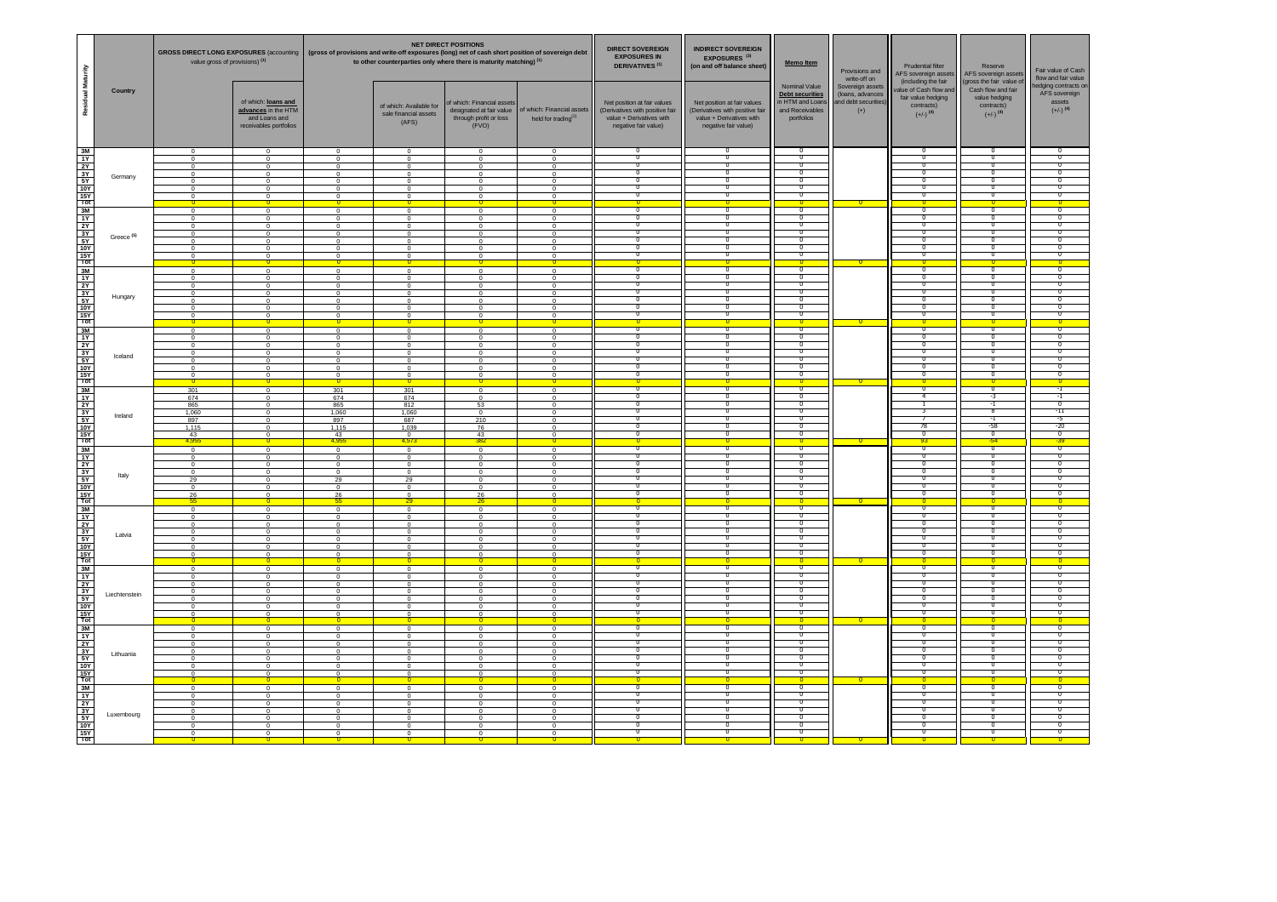|                                                                                                                                       |                       | GROSS DIRECT LONG EXPOSURES (accounting   (gross of provisions and write-off exposures (long) net of cash short position of sovereign debt<br>value gross of provisions) (1) |                                                                                                                                            |                                                                                                                |                                                                                                     | <b>NET DIRECT POSITIONS</b><br>to other counterparties only where there is maturity matching) (1)       |                                                                                                 | <b>DIRECT SOVEREIGN</b><br><b>INDIRECT SOVEREIGN</b><br><b>EXPOSURES IN</b><br>EXPOSURES <sup>(3)</sup><br>Memo Item<br><b>DERIVATIVES (1)</b><br>(on and off balance sheet) |                                                                                                                    |                                                                                                         | Provisions and<br>write-off on                                        |                                                                                                             | Reserve<br>AFS sovereign assets                                                                         | Fair value of Cash<br>flow and fair value                                    |
|---------------------------------------------------------------------------------------------------------------------------------------|-----------------------|------------------------------------------------------------------------------------------------------------------------------------------------------------------------------|--------------------------------------------------------------------------------------------------------------------------------------------|----------------------------------------------------------------------------------------------------------------|-----------------------------------------------------------------------------------------------------|---------------------------------------------------------------------------------------------------------|-------------------------------------------------------------------------------------------------|------------------------------------------------------------------------------------------------------------------------------------------------------------------------------|--------------------------------------------------------------------------------------------------------------------|---------------------------------------------------------------------------------------------------------|-----------------------------------------------------------------------|-------------------------------------------------------------------------------------------------------------|---------------------------------------------------------------------------------------------------------|------------------------------------------------------------------------------|
| Residual Maturity                                                                                                                     | Country               |                                                                                                                                                                              | of which: loans and<br>advances in the HTM<br>and Loans and<br>receivables portfolios                                                      |                                                                                                                | of which: Available for<br>sale financial assets<br>(AFS)                                           | of which: Financial assets<br>designated at fair value<br>through profit or loss<br>(FVO)               | of which: Financial assets<br>held for trading $^{(2)}$                                         | Net position at fair values<br>(Derivatives with positive fair<br>value + Derivatives with<br>negative fair value)                                                           | Net position at fair values<br>(Derivatives with positive fair<br>value + Derivatives with<br>negative fair value) | Nominal Value<br><b>Debt securities</b><br>in HTM and Loans<br>and Receivables<br>portfolios            | Sovereign assets<br>(loans, advances<br>and debt securities)<br>$(+)$ | (including the fair<br>value of Cash flow and<br>fair value hedging<br>contracts)<br>$(+/-)$ <sup>(4)</sup> | (gross the fair value of<br>Cash flow and fair<br>value hedging<br>contracts)<br>$(+/-)$ <sup>(4)</sup> | nedging contracts on<br>AFS sovereign<br>assets<br>$(+/-)$ <sup>(4)</sup>    |
| $\begin{array}{c}\n\frac{3M}{14} \\ \hline\n\frac{1}{14} \\ \frac{5N}{14} \\ \frac{1}{14} \\ \frac{5N}{14} \\ \hline\n\end{array}$    | Germany               | $\mathbf 0$<br>$\Omega$<br>$\Omega$<br>$\Omega$<br>$\mathbf{0}$<br>$\overline{0}$<br>$\frac{0}{0}$                                                                           | $\overline{0}$<br>$\Omega$<br>$\Omega$<br>$\Omega$<br>$\overline{0}$<br>$\overline{0}$<br>$\frac{0}{\mathbf{0}}$                           | $\Omega$<br>$\Omega$<br>$\Omega$<br>$\Omega$<br>$^{\circ}$<br>$\Omega$                                         | $\mathbf{0}$<br>$\Omega$<br>$\mathbf{0}$<br>$\Omega$<br>$\Omega$<br>$\mathbf{0}$<br>$^{\circ}$      | $\Omega$<br>$\Omega$<br>$\mathbf{0}$<br>$\Omega$                                                        | $^{\circ}$<br>$\Omega$<br>$\Omega$<br>$\Omega$<br>$^{\circ}$<br>$^{\circ}$<br>$^{\circ}$        | $\overline{0}$<br>n<br>π<br>σ<br>Π<br>$\overline{0}$<br>$\overline{0}$                                                                                                       | ╖<br>70<br>σ<br>n<br>$^{\circ}$<br>$^{\circ}$<br>$^{\circ}$                                                        | $\overline{0}$<br>╖<br>σ<br>$\overline{0}$<br>$\overline{0}$<br>$^{\circ}$<br>᠊ᢅ                        |                                                                       | ╖<br>╖<br>$\overline{\mathfrak{o}}$<br>-0<br>-0<br>-0<br>$\overline{0}$                                     | O<br>ᄀ<br>$\overline{\phantom{a}}$<br>70<br>70<br>-0<br>-0<br>o                                         | ╖<br>ᢦ<br>᠊ᢐ<br>-0<br>-0<br>$\overline{0}$                                   |
| $\begin{array}{r}\n 3M \\  1Y \\  2Y \\  3Y \\  \hline\n 5Y \\  10Y \\  15Y \\  \hline\n 7ot\n\end{array}$                            | Greece <sup>(5)</sup> | $\Omega$<br>$\overline{0}$<br>$\Omega$<br>$\overline{0}$<br>$\mathbf 0$<br>$\overline{0}$<br>n                                                                               | $\Omega$<br>$\overline{0}$<br>$\Omega$<br>$\overline{0}$<br>$\overline{0}$<br>$^{\circ}$<br>$\circ$<br>0                                   | $\Omega$<br>$\Omega$<br>$\Omega$<br>$\circ$<br>$\Omega$<br>$^{\circ}$                                          | $\Omega$<br>$\mathbf{0}$<br>$\Omega$<br>$\Omega$<br>$\mathbf 0$<br>$\mathbf 0$                      | $\Omega$<br>$\Omega$<br>$\Omega$<br>$\mathbf{0}$<br>$\Omega$<br>$^{\circ}$                              | $\Omega$<br>$^{\circ}$<br>$\Omega$<br>$^{\circ}$<br>0<br>$^{\circ}$                             | ╦<br>Ο<br>Ο<br>Ο<br>$\overline{0}$<br>$\overline{0}$<br>π<br>n                                                                                                               | ᠊ᢆ<br>О<br>О<br>70<br>$^{\circ}$<br>$^{\circ}$<br>╖                                                                | ᠊ᢆ<br>σ<br>᠊ᢐ<br>σ<br>᠊ᢆ<br>᠊ᢅ<br>╖                                                                     |                                                                       | ᠊᠊ᢆ<br>╖<br>᠊ᢐ<br>╖<br>-0<br>-0<br>╖                                                                        | ᠊╖<br>70<br>70<br>Ō<br>-0<br>-0<br>╖                                                                    | ╦<br>᠊ᢐ<br>70<br>- 0<br>-0<br>-0                                             |
| $\begin{array}{r}\n 3M \\  1Y \\  2Y \\  \hline\n 3Y \\  \hline\n 5Y \\  \hline\n 10Y \\  \hline\n 15Y \\  \hline\n 7ot\n\end{array}$ | Hungary               | $\overline{0}$<br>$\Omega$<br>$\overline{0}$<br>$\Omega$<br>$\mathbf{0}$<br>$\mathbf{0}$<br>$^{\circ}$                                                                       | $\overline{0}$<br>$\Omega$<br>$\,0\,$<br>$\overline{0}$<br>$\overline{0}$<br>$\overline{0}$<br>$\overline{0}$                              | $\overline{0}$<br>$\Omega$<br>$^{\circ}$<br>$\Omega$<br>$\mathbf 0$<br>$^{\circ}$                              | $\overline{0}$<br>$\Omega$<br>$\mathbf 0$<br>$\Omega$<br>$^{\circ}$<br>$^{\circ}$<br>$^{\circ}$     | $\Omega$<br>$\Omega$<br>$\mathbf 0$<br>$\Omega$<br>$^{\circ}$<br>$^{\circ}$                             | $\overline{0}$<br>$\Omega$<br>$^{\circ}$<br>$\Omega$<br>$\mathbf 0$<br>$^{\circ}$<br>$^{\circ}$ | σ<br>$\overline{0}$<br>$\overline{0}$<br>Π<br>Π<br>n<br>π                                                                                                                    | ᠊ᢐ<br>᠊ᡉ<br>σ<br>᠊ᢅᢆ<br>n.<br>╖<br>╖                                                                               | ᠊ᢐ<br>᠊ᢐ<br>$\overline{\mathfrak{o}}$<br>╖<br>$^{\circ}$<br>╖<br>᠊ᢆ                                     |                                                                       | ᠊ᢐ<br>᠊ᢐ<br>70<br>᠊ᢅ<br>-0<br>╖<br>╖.                                                                       | σ<br>ი<br>Ō<br>-0<br>-0<br>ᄀ<br>╖                                                                       | ᠊ᢐ<br>70<br>-0<br>-0<br>╖<br>╖                                               |
| $\begin{array}{c}\n\hline\n3M \\ \hline\n1Y \\ \hline\n2Y\n\end{array}$<br>$\frac{3Y}{5Y}$ $\frac{10Y}{15Y}$                          | Iceland               | $\Omega$<br>$\overline{0}$<br>$\Omega$<br>$\overline{0}$<br>$^{\circ}$<br>$^{\circ}$<br>$^{\circ}$                                                                           | $\Omega$<br>$\overline{\mathbf{0}}$<br>$\mathbf 0$<br>$\overline{0}$<br>$\overline{0}$<br>$\overline{0}$<br>$^{\circ}$<br>$\overline{0}$   | $\Omega$<br>$\circ$<br>$\Omega$<br>$\overline{0}$<br>$^{\circ}$<br>$^{\circ}$<br>$^{\circ}$                    | $\Omega$<br>$\mathbf 0$<br>$\Omega$<br>$^{\circ}$<br>$^{\circ}$<br>$^{\circ}$<br>$^{\circ}$         | $\Omega$<br>$\overline{0}$<br>$\Omega$<br>$^{\circ}$<br>$^{\circ}$<br>$^{\circ}$<br>$^{\circ}$          | $\Omega$<br>$^{\circ}$<br>$\mathbf 0$<br>$^{\circ}$<br>$^{\circ}$<br>$^{\circ}$<br>$^{\circ}$   | $\overline{0}$<br>n<br>$^{\circ}$<br>n<br>π<br>Ο                                                                                                                             | σ<br>0<br>n.<br>╖<br>n<br>О                                                                                        | ᠊ᢐ<br>$\overline{0}$<br>σ<br>╖<br>╖<br>70<br>σ                                                          |                                                                       | τ<br>70<br>-0<br>╖.<br>╖<br>᠊᠐                                                                              | ℧<br>-0<br>n<br>-0<br>ᄀ<br>ᄀ<br>ი                                                                       | $\Omega$<br>-0<br>╖<br>᠊ᢐ<br>ᢦ                                               |
| $\frac{3M}{3}$ $\frac{3M}{15}$ $\frac{3Y}{15Y}$ $\frac{3Y}{15Y}$ $\frac{15Y}{10}$                                                     | Ireland               | 301<br>674<br>865<br>1,060<br>897<br>1,115<br>43<br>4,95                                                                                                                     | $\overline{0}$<br>$\mathbf 0$<br>$\overline{0}$<br>$\overline{\mathbf{0}}$<br>$\overline{0}$<br>$\overline{0}$<br>$\Omega$<br>$\mathbf{0}$ | 301<br>674<br>865<br>1,060<br>897<br>1,115<br>43<br>4.955                                                      | 301<br>674<br>812<br>1,060<br>687<br>1,039<br>$\overline{0}$<br>4,573                               | $\overline{0}$<br>$\overline{0}$<br>53<br>$\Omega$<br>210<br>76<br>43<br>382                            | $\mathbf{0}$<br>$\mathbf 0$<br>$^{\circ}$<br>0<br>$^{\circ}$<br>$^{\circ}$<br>$^{\circ}$        | ο<br>$^{\circ}$<br>σ<br>π<br>π<br>n<br>Ο                                                                                                                                     | ᠊ᢐ<br>$^{\circ}$<br>᠊ᡉ<br>╖<br>╖<br>╖<br>О                                                                         | $\overline{\mathfrak{o}}$<br>᠊ᢐ<br>$\overline{0}$<br>╖<br>70<br>σ<br>$\overline{0}$                     |                                                                       | ᠊ᢐ<br>-4<br>T<br>3<br>78<br>᠊ᢐ<br>93                                                                        | ᠊ᢐ<br>-3<br>$\overline{-1}$<br>-8<br>-1<br>-58<br>70<br>$-54$                                           | -1<br>-1<br>$\overline{\mathfrak{o}}$<br>$-11$<br>-5<br>$-20$<br>᠊ᢐ<br>$-39$ |
| $\begin{array}{r}\n 3M \\  1Y \\  2Y \\  3Y \\  5Y \\  \hline\n 10Y \\  15Y \\  \hline\n 10Y \\  15Y \\  \hline\n 10t\n \end{array}$  | Italy                 | $\,0\,$<br>$\overline{0}$<br>$\mathbf 0$<br>$^{\circ}$<br>29<br>$\Omega$<br>$\frac{26}{55}$                                                                                  | $\mathbf 0$<br>$\mathbf{0}$<br>$\,0\,$<br>$^{\circ}$<br>$\overline{0}$<br>$\Omega$<br>$\overline{0}$<br>$\Omega$                           | $\Omega$<br>$\mathbf 0$<br>$\Omega$<br>$^{\circ}$<br>29<br>$\Omega$<br>$\frac{26}{55}$                         | $\Omega$<br>$\mathbf{0}$<br>$\,0\,$<br>$^{\circ}$<br>29<br>$\Omega$<br>$\Omega$<br>29               | $\Omega$<br>$\mathbf 0$<br>$\Omega$<br>$^{\circ}$<br>$^{\circ}$<br>$\Omega$<br>$\frac{26}{26}$          | $\Omega$<br>$^{\circ}$<br>$\Omega$<br>$^{\circ}$<br>$^{\circ}$<br>$^{\circ}$<br>$\Omega$        | ╦<br>Ο<br>$^{\circ}$<br>π<br>Ο                                                                                                                                               | ᠊ᢐ<br>О<br>n.<br>╥<br>70<br>О<br>$\Omega$                                                                          | $\overline{\mathfrak{o}}$<br>$\overline{0}$<br>$^{\circ}$<br>╥<br>T<br>$\overline{0}$<br>$\overline{0}$ |                                                                       | $\overline{\mathfrak{o}}$<br>᠊ᢐ<br>-0<br>╖<br>╖<br>᠊ᢐ<br>τ<br>$\Omega$                                      | ᠊ᢐ<br>Ō<br>-0<br>╖<br>70<br>ი<br>$\overline{0}$                                                         | ᠊ᢐ<br>᠊ᢐ<br>-0<br>╖<br>70<br>᠊ᢐ<br>$\Omega$                                  |
| $\begin{array}{r}\n 3M \\  1Y \\  2Y \\  3Y \\  5Y \\  10Y \\  15Y \\  10Y \\  15Y \\  10t\n\end{array}$                              | Latvia                | $\overline{0}$<br>$^{\circ}$<br>$\mathbf{0}$<br>$^{\circ}$<br>$\Omega$<br>$\Omega$<br>$\Omega$<br>$\Omega$                                                                   | $\overline{0}$<br>$\mathbf 0$<br>$\overline{0}$<br>$^{\circ}$<br>$\Omega$<br>$\Omega$<br>$\overline{0}$<br>$\mathbf{0}$                    | $\mathbf 0$<br>$\Omega$<br>$^{\circ}$<br>$\Omega$<br>$\Omega$<br>$\Omega$<br>$\Omega$<br>$\overline{0}$        | $\overline{0}$<br>$\mathbf{0}$<br>$^{\circ}$<br>$^{\circ}$<br>$\Omega$<br>$\Omega$<br>$\Omega$      | $\mathbf 0$<br>$\Omega$<br>$^{\circ}$<br>$^{\circ}$<br>$\Omega$<br>$\Omega$<br>$\Omega$<br>$\mathbf{0}$ | $^{\circ}$<br>$^{\circ}$<br>$^{\circ}$<br>$^{\circ}$<br>$^{\circ}$<br>$\Omega$<br>$\Omega$      | σ<br>$\overline{0}$<br>π<br>n<br>O<br>$\overline{0}$<br>π                                                                                                                    | $^{\circ}$<br>$^{\circ}$<br>᠊ᢅᢆ<br>- 0<br>О<br>σ<br>$^{\circ}$<br>$\mathbf 0$                                      | $\overline{\mathfrak{o}}$<br>᠊ᢆ<br>᠊ᢅ<br>╖<br>σ<br>$\overline{0}$<br>᠊ᢐ                                 |                                                                       | ᠊ᢐ<br>-0<br>᠊ᢅ<br>╖<br>᠊᠐<br>τ<br>᠊ᢐ<br>$\overline{0}$                                                      | -0<br>-0<br>-0<br>╖<br>O<br>Ō<br>თ                                                                      | -0<br>-0<br>70<br>╖<br>᠊ᢐ<br>᠊ᢐ                                              |
| $\begin{array}{r}\n 3M \\  1Y \\  2Y \\  3Y \\  5Y \\  10Y \\  15Y \\  10Y \\  15Y \\  10t\n\end{array}$                              | Liechtenstein         | $\,$ 0<br>$\mathbf{0}$<br>$\Omega$<br>$\Omega$<br>$\Omega$<br>$\Omega$<br>$\mathbf{0}$<br>$\Omega$                                                                           | $\overline{0}$<br>$\overline{0}$<br>$\Omega$<br>$\Omega$<br>$\overline{0}$<br>$\overline{0}$<br>$\overline{0}$<br>$\Omega$                 | $\circ$<br>$\Omega$<br>$\Omega$<br>$\Omega$<br>$\Omega$<br>$\Omega$<br>$\circ$<br>$\Omega$                     | $\mathbf 0$<br>- 0<br>$\Omega$<br>$\Omega$<br>$\Omega$<br>$\Omega$<br>$\overline{0}$                | $\Omega$<br>$^{\circ}$<br>$\Omega$<br>$\Omega$<br>$\Omega$<br>$\Omega$<br>$\mathbf{0}$                  | $\mathbf 0$<br>$^{\circ}$<br>$\Omega$<br>$\Omega$<br>$\Omega$<br>$\Omega$<br>$\overline{0}$     | $\overline{0}$<br>π<br>n<br>π<br>$\overline{0}$<br>Π<br>О<br>n                                                                                                               | $^{\circ}$<br>᠊ᢅᢆ<br>╖<br>╖<br>О<br>$^{\circ}$<br>$^{\circ}$<br>$^{\circ}$                                         | $^{\circ}$<br>᠊ᢅ<br>᠊ᢆ<br>᠊ᢆ<br>$\overline{\mathfrak{o}}$<br>σ<br>᠊ᡉ<br>n                               | o                                                                     | -0<br>᠊ᢅ<br>╖<br>╖.<br>τ<br>70<br>0<br>$\overline{0}$                                                       | -0<br>-0<br>ᄀᅁ<br>-0<br>Ō<br>ი<br>-0                                                                    | -0<br>ᄀ<br>70<br>70<br>- 0<br>ം<br>n                                         |
| $\frac{3M}{10}$ $\frac{3M}{10}$ $\frac{3M}{10}$ $\frac{3M}{10}$ $\frac{3M}{10}$ $\frac{3M}{10}$                                       | Lithuania             | $\overline{0}$<br>$\Omega$<br>$\Omega$<br>$\Omega$<br>$\overline{0}$<br>$\overline{0}$<br>$\mathbf{0}$<br>$\overline{0}$                                                     | $\overline{0}$<br>$\Omega$<br>$\Omega$<br>$\overline{0}$<br>$\overline{0}$<br>$\overline{0}$<br>$\mathbf 0$<br>$\overline{\mathbf{0}}$     | $\overline{0}$<br>$\Omega$<br>$\Omega$<br>$\overline{0}$<br>$\overline{0}$<br>$\overline{0}$<br>$\overline{0}$ | $\overline{0}$<br>$\Omega$<br>$\Omega$<br>$\Omega$<br>$\mathbf{0}$<br>$\overline{0}$<br>$\mathbf 0$ | $\overline{0}$<br>$\Omega$<br>$\Omega$<br>$\overline{0}$<br>$\Omega$<br>$\overline{0}$                  | $\overline{0}$<br>$\Omega$<br>$^{\circ}$<br>$\Omega$<br>$^{\circ}$<br>$\overline{0}$            | ᠊ᢐ<br>n<br>Π<br>$\overline{0}$<br>0<br>σ<br>$\overline{0}$<br>$\overline{0}$                                                                                                 | ᠊ᢐ<br>╖<br>n.<br>σ<br>$^{\circ}$<br>$^{\circ}$<br>n.<br>$^{\circ}$                                                 | ᠊ᢐ<br>᠊ᢆ<br>T<br>$\overline{\mathfrak{o}}$<br>᠊ᢐ<br>᠊ᡉ<br>᠊ᢆ<br>$\overline{0}$                          |                                                                       | ᠊ᢐ<br>╖<br>70<br>ō<br>᠊ᢐ<br>0<br>-0<br>$\overline{0}$                                                       | ᄀ<br>ᄀᅁ<br>70<br>70<br>ი<br>᠊<br>-0<br>o                                                                | ᠊᠊ᢆᢆ<br>70<br>᠊ᢐ<br>᠊ᢐ<br>$^{\circ}$<br>ം<br>-0<br>$\overline{\phantom{0}}$  |
| $\frac{3M}{11}$ $\frac{3M}{11}$ $\frac{3M}{5Y}$ $\frac{5Y}{10Y}$ $\frac{15Y}{10}$                                                     | Luxembourg            | $\Omega$<br>$\Omega$<br>$\Omega$<br>$\Omega$<br>$\mathbf{0}$<br>$\mathbf{0}$<br>$\overline{0}$                                                                               | $\Omega$<br>$\Omega$<br>$\Omega$<br>$\overline{0}$<br>$\overline{0}$<br>$\overline{0}$<br>$\overline{0}$                                   | $\Omega$<br>$\Omega$<br>$\Omega$<br>$\Omega$<br>$\overline{0}$<br>$\Omega$                                     | $\Omega$<br>$\Omega$<br>$\Omega$<br>$\Omega$<br>$^{\circ}$<br>$\Omega$                              | $\Omega$<br>$\Omega$<br>$\Omega$<br>$\Omega$<br>$\overline{0}$<br>$\mathbf 0$<br>$\overline{0}$         | $\Omega$<br>$^{\circ}$<br>$^{\circ}$<br>$\Omega$<br>$^{\circ}$<br>$\mathbf 0$<br>$^{\circ}$     | Π<br>$\overline{0}$<br>π<br>Ο<br>σ<br>$\overline{0}$<br>᠊ᢆ                                                                                                                   | ╖<br>70<br>70<br>О<br>$^{\circ}$<br>n.<br>᠊ᢆᠭ                                                                      | ᠊ᢆ<br>T<br>T<br>᠊ᢐ<br>σ<br>᠊ᢆ<br>᠊ᢆ                                                                     |                                                                       | 70<br>╖<br>╖<br>τ<br>0<br>-0<br>᠊ᢅ<br>n                                                                     | ᠊╖<br>70<br>70<br>Ō<br>-0<br>-0<br>ᄀ                                                                    | - 0<br>᠊ᢐ<br>᠊ᢐ<br>0<br>-0<br>70                                             |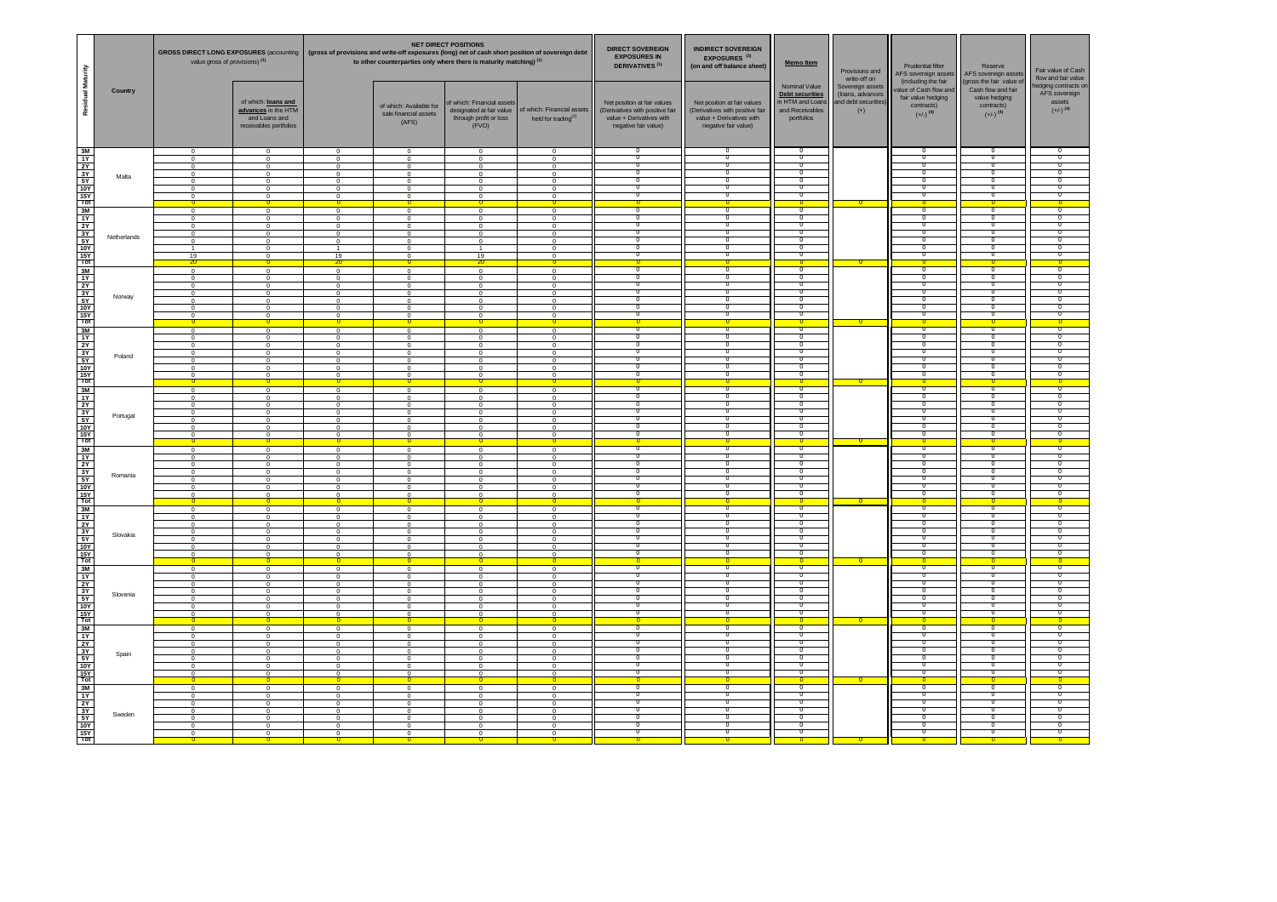|                                                                                                                                       |             | GROSS DIRECT LONG EXPOSURES (accounting   (gross of provisions and write-off exposures (long) net of cash short position of sovereign debt<br>value gross of provisions) (1) |                                                                                                                                          |                                                                                                                |                                                                                                           | <b>NET DIRECT POSITIONS</b><br>to other counterparties only where there is maturity matching) (1)       |                                                                                                 | <b>DIRECT SOVEREIGN</b><br><b>EXPOSURES IN</b><br><b>DERIVATIVES<sup>(1)</sup></b>                                 | <b>INDIRECT SOVEREIGN</b><br>EXPOSURES <sup>(3)</sup><br>(on and off balance sheet)                                |                                                                                                 | Memo Item<br>Provisions and<br>write-off on                           |                                                                                                             | Reserve<br>AFS sovereign assets                                                                         | Fair value of Cash<br>flow and fair value                                        |
|---------------------------------------------------------------------------------------------------------------------------------------|-------------|------------------------------------------------------------------------------------------------------------------------------------------------------------------------------|------------------------------------------------------------------------------------------------------------------------------------------|----------------------------------------------------------------------------------------------------------------|-----------------------------------------------------------------------------------------------------------|---------------------------------------------------------------------------------------------------------|-------------------------------------------------------------------------------------------------|--------------------------------------------------------------------------------------------------------------------|--------------------------------------------------------------------------------------------------------------------|-------------------------------------------------------------------------------------------------|-----------------------------------------------------------------------|-------------------------------------------------------------------------------------------------------------|---------------------------------------------------------------------------------------------------------|----------------------------------------------------------------------------------|
| Residual Maturity                                                                                                                     | Country     |                                                                                                                                                                              | of which: loans and<br>advances in the HTM<br>and Loans and<br>receivables portfolios                                                    |                                                                                                                | of which: Available for<br>sale financial assets<br>(AFS)                                                 | of which: Financial assets<br>designated at fair value<br>through profit or loss<br>(FVO)               | of which: Financial assets<br>held for trading $^{(2)}$                                         | Net position at fair values<br>(Derivatives with positive fair<br>value + Derivatives with<br>negative fair value) | Net position at fair values<br>(Derivatives with positive fair<br>value + Derivatives with<br>negative fair value) | Nominal Value<br><b>Debt securities</b><br>in HTM and Loans<br>and Receivables<br>portfolios    | Sovereign assets<br>(loans, advances<br>and debt securities)<br>$(+)$ | (including the fair<br>value of Cash flow and<br>fair value hedging<br>contracts)<br>$(+/-)$ <sup>(4)</sup> | (gross the fair value of<br>Cash flow and fair<br>value hedging<br>contracts)<br>$(+/-)$ <sup>(4)</sup> | nedging contracts on<br>AFS sovereign<br>assets<br>$\left(+/-\right)^{\,\, (4)}$ |
| $\begin{array}{r}\n 3M \\  1Y \\  2Y \\  3Y \\  5Y \\  10Y \\  10Y\n\end{array}$<br>$\frac{15Y}{Tot}$                                 | Malta       | $\mathbf 0$<br>$\Omega$<br>$\Omega$<br>$\Omega$<br>$\mathbf{0}$<br>$\overline{0}$<br>0                                                                                       | $\overline{0}$<br>$\Omega$<br>$\Omega$<br>$\Omega$<br>$\overline{0}$<br>$\overline{0}$<br>$\frac{0}{0}$                                  | $\Omega$<br>$\Omega$<br>$\Omega$<br>$\Omega$<br>$^{\circ}$<br>$\Omega$                                         | $\mathbf{0}$<br>$\Omega$<br>$\mathbf{0}$<br>$\Omega$<br>$\Omega$<br>$\mathbf{0}$<br>$^{\circ}$            | $\Omega$<br>$\Omega$<br>$\Omega$<br>$\mathbf{0}$<br>$\Omega$                                            | $^{\circ}$<br>$\Omega$<br>$\Omega$<br>$\Omega$<br>$^{\circ}$<br>$^{\circ}$<br>$^{\circ}$        | $\overline{0}$<br>n<br>π<br>σ<br>Π<br>$\overline{0}$<br>$\overline{0}$                                             | n<br>╖<br>70<br>σ<br>n<br>$^{\circ}$<br>$^{\circ}$<br>$^{\circ}$                                                   | $\overline{0}$<br>╖<br>σ<br>$\overline{0}$<br>$\overline{0}$<br>$^{\circ}$<br>᠊ᢅ                |                                                                       | ╖<br>╖<br>$\overline{\mathfrak{o}}$<br>70<br>-0<br>-0<br>$\overline{0}$                                     | O<br>ᄀ<br>$\overline{\phantom{a}}$<br>70<br>70<br>-0<br>-0<br>o                                         | ╖<br>ᢦ<br>᠊ᢐ<br>-0<br>-0<br>$\overline{0}$                                       |
| $\begin{array}{r}\n 3M \\  1Y \\  2Y \\  3Y \\  \hline\n 5Y \\  10Y \\  15Y \\  \hline\n 7ot\n\end{array}$                            | Netherlands | $\Omega$<br>$\overline{0}$<br>$\Omega$<br>$\overline{0}$<br>$\overline{0}$<br>19<br>$\overline{20}$                                                                          | $\Omega$<br>$\overline{0}$<br>$\Omega$<br>$\overline{0}$<br>$\overline{0}$<br>$^{\circ}$<br>$\circ$<br>0                                 | $\Omega$<br>$\Omega$<br>$\Omega$<br>$\circ$<br>$\overline{0}$<br>19<br>20                                      | $\Omega$<br>$\mathbf{0}$<br>$\Omega$<br>$\mathbf{0}$<br>$\mathbf 0$<br>$\mathbf 0$                        | $\Omega$<br>$\Omega$<br>$\Omega$<br>$\mathbf{0}$<br>$\Omega$<br>19<br>$\overline{20}$                   | $\Omega$<br>$^{\circ}$<br>$\Omega$<br>$^{\circ}$<br>0<br>$^{\circ}$                             | ╦<br>Ο<br>Ο<br>Ο<br>$\overline{0}$<br>$\overline{0}$<br>π<br>n                                                     | ᠊ᢆ<br>О<br>О<br>70<br>$^{\circ}$<br>$^{\circ}$<br>╖                                                                | ᠊ᢆ<br>σ<br>᠊ᢐ<br>σ<br>╖<br>᠊ᢅ<br>╖                                                              |                                                                       | ᠊᠊ᢆ<br>╖<br>᠊ᢐ<br>╖<br>-0<br>-0<br>╖                                                                        | ᠊╖<br>70<br>70<br>Ō<br>-0<br>-0<br>╖                                                                    | ╦<br>᠊ᢐ<br>70<br>- 0<br>-0<br>-0                                                 |
| $\begin{array}{r}\n 3M \\  1Y \\  2Y \\  \hline\n 3Y \\  \hline\n 5Y \\  \hline\n 10Y \\  \hline\n 15Y \\  \hline\n 7ot\n\end{array}$ | Norway      | $\overline{0}$<br>$\Omega$<br>$\overline{0}$<br>$\Omega$<br>$\overline{0}$<br>$\overline{0}$<br>$^{\circ}$                                                                   | $\overline{0}$<br>$\Omega$<br>$\,0\,$<br>$\overline{0}$<br>$\overline{0}$<br>$\overline{0}$<br>$\overline{0}$                            | $\overline{0}$<br>$\Omega$<br>$\mathbf 0$<br>$\Omega$<br>$\mathbf 0$<br>$^{\circ}$                             | $\overline{0}$<br>$\Omega$<br>$\mathbf 0$<br>$\Omega$<br>$\mathbf 0$<br>$\mathbf 0$<br>$^{\circ}$         | $\overline{0}$<br>$\Omega$<br>$\mathbf 0$<br>$\Omega$<br>$^{\circ}$<br>$^{\circ}$                       | $\overline{0}$<br>$\Omega$<br>$^{\circ}$<br>$\Omega$<br>$\mathbf 0$<br>$^{\circ}$<br>$^{\circ}$ | σ<br>$\overline{0}$<br>$\overline{0}$<br>Π<br>Π<br>n<br>π                                                          | ᠊ᢐ<br>᠊ᡉ<br>σ<br>᠊ᢅᢆ<br>n.<br>╖<br>╖                                                                               | ᠊ᢐ<br>᠊ᢐ<br>$\overline{\mathfrak{o}}$<br>╖<br>$^{\circ}$<br>╖<br>╖                              |                                                                       | ᠊ᢐ<br>᠊ᢐ<br>70<br>᠊ᢅ<br>-0<br>╖<br>╖.                                                                       | σ<br>Ō<br>Ō<br>-0<br>-0<br>ᄀ<br>╖                                                                       | ᠊᠊ᢆᢆ<br>70<br>-0<br>-0<br>- 0<br>᠊ᢅ                                              |
| $\begin{array}{c}\n\hline\n3M \\ \hline\n1Y \\ \hline\n2Y\n\end{array}$<br>$\frac{3Y}{5Y}$ $\frac{10Y}{15Y}$                          | Poland      | $\Omega$<br>$\overline{0}$<br>$\Omega$<br>$\overline{0}$<br>$^{\circ}$<br>$^{\circ}$<br>$^{\circ}$                                                                           | $\Omega$<br>$\overline{\mathbf{0}}$<br>$\mathbf 0$<br>$\overline{0}$<br>$\overline{0}$<br>$\overline{0}$<br>$^{\circ}$<br>$\overline{0}$ | $\Omega$<br>$\circ$<br>$\Omega$<br>$\overline{0}$<br>$^{\circ}$<br>$^{\circ}$<br>$\Omega$                      | $\Omega$<br>$\mathbf 0$<br>$\Omega$<br>$^{\circ}$<br>$^{\circ}$<br>$^{\circ}$<br>$^{\circ}$               | $\Omega$<br>$\overline{0}$<br>$\Omega$<br>$^{\circ}$<br>$^{\circ}$<br>$^{\circ}$<br>$\Omega$            | $\Omega$<br>$^{\circ}$<br>$\mathbf 0$<br>$^{\circ}$<br>$^{\circ}$<br>$^{\circ}$<br>$^{\circ}$   | $\overline{0}$<br>n<br>$\overline{0}$<br>n<br>π<br>Ο                                                               | σ<br>0<br>n.<br>╖<br>n<br>О                                                                                        | ᠊ᢐ<br>$\overline{0}$<br>σ<br>╖<br>╖<br>70<br>σ                                                  |                                                                       | τ<br>70<br>-0<br>╖.<br>╖<br>᠊᠐                                                                              | ℧<br>-0<br>n<br>-0<br>ᄀ<br>ᄀᅁ<br>ი                                                                      | $\Omega$<br>-0<br>╖<br>╖                                                         |
| $\frac{3M}{3}$ $\frac{3M}{15}$ $\frac{3Y}{15Y}$ $\frac{3Y}{15Y}$ $\frac{15Y}{10}$                                                     | Portugal    | $\overline{\mathbf{0}}$<br>$\,0\,$<br>$\overline{0}$<br>$^{\circ}$<br>$^{\circ}$<br>$^{\circ}$<br>$\Omega$                                                                   | $\overline{0}$<br>$\mathbf 0$<br>$\overline{0}$<br>$\overline{\mathbf{0}}$<br>$^{\circ}$<br>$\overline{0}$<br>$\Omega$<br>0              | $\circ$<br>$\Omega$<br>$\circ$<br>$\Omega$<br>$^{\circ}$<br>$\Omega$<br>$\Omega$                               | $\overline{\mathbf{0}}$<br>$\Omega$<br>$^{\circ}$<br>$\mathbf{0}$<br>$^{\circ}$<br>$^{\circ}$<br>$\Omega$ | $\overline{0}$<br>$\Omega$<br>$\mathbf{0}$<br>$\Omega$<br>$^{\circ}$<br>$\Omega$<br>$\Omega$            | $\mathbf{0}$<br>$\mathbf 0$<br>$^{\circ}$<br>0<br>$^{\circ}$<br>$^{\circ}$<br>$^{\circ}$        | ο<br>$\overline{0}$<br>σ<br>π<br>π<br>n<br>Ο                                                                       | ᠊ᢐ<br>᠊ᡉ<br>᠊ᡉ<br>᠊ᢆᠭ<br>᠊ᢆᠭ<br>╖<br>О                                                                             | $\overline{\mathfrak{o}}$<br>᠊ᢐ<br>$\overline{0}$<br>᠊ᢆ<br>70<br>σ<br>$\overline{0}$            |                                                                       | ᠊ᢐ<br>᠊ᢐ<br>$\overline{0}$<br>᠊ᢅ<br>╖<br>╖<br>᠊ᢐ                                                            | ᠊ᢐ<br>ი<br>70<br>ᄀᅁ<br>ᄀᅁ<br>70<br>ი                                                                    | -0<br>᠊ᢐ<br>70<br>᠊ᢐ<br>᠊ᢐ                                                       |
| $\frac{3M}{1Y}$<br>2Y<br>3Y<br>5Y<br>10Y<br>15Y<br>Tot                                                                                | Romania     | $\Omega$<br>$^{\circ}$<br>$\Omega$<br>$^{\circ}$<br>$^{\circ}$<br>$\Omega$<br>$\Omega$<br>$\Omega$                                                                           | $\Omega$<br>$\mathbf{0}$<br>$\,0\,$<br>$^{\circ}$<br>$\overline{0}$<br>$\Omega$<br>$\overline{0}$<br>$\Omega$                            | $\Omega$<br>$\mathbf 0$<br>$\Omega$<br>$^{\circ}$<br>$^{\circ}$<br>$\Omega$<br>$\Omega$<br>$\Omega$            | $\Omega$<br>$\circ$<br>$\Omega$<br>$^{\circ}$<br>$^{\circ}$<br>$\Omega$<br>$\Omega$                       | $\Omega$<br>$^{\circ}$<br>$\Omega$<br>$^{\circ}$<br>$^{\circ}$<br>$\Omega$<br>$\Omega$                  | $\Omega$<br>$^{\circ}$<br>$\Omega$<br>$^{\circ}$<br>$^{\circ}$<br>$^{\circ}$<br>$\Omega$        | ╦<br>Ο<br>$^{\circ}$<br>π<br>Ο                                                                                     | ᠊ᢐ<br>О<br>n.<br>╥<br>70<br>О<br>$\Omega$                                                                          | $\overline{\mathfrak{o}}$<br>$\overline{0}$<br>᠊ᢆ<br>╖<br>T<br>$\overline{0}$<br>$\overline{0}$ |                                                                       | ᠊ᢐ<br>᠊᠐<br>-0<br>╖<br>╖<br>᠊ᢐ<br>τ<br>$\Omega$                                                             | -0<br>ი<br>-0<br>╖<br>70<br>ი<br>$\overline{0}$                                                         | ᠊᠊ᢆᢆ<br>n<br>-0<br>╖<br>᠊ᢐ<br>$\Omega$                                           |
| 3M<br>1Y<br>2Y<br>3Y<br>5Y<br>5Y<br>10Y<br>15Y<br>Tot                                                                                 | Slovakia    | $\overline{0}$<br>$^{\circ}$<br>$^{\circ}$<br>$^{\circ}$<br>$\Omega$<br>$\Omega$<br>$\Omega$<br>$\Omega$                                                                     | $\overline{0}$<br>$\mathbf 0$<br>$\overline{0}$<br>$^{\circ}$<br>$\Omega$<br>$\Omega$<br>$\overline{0}$<br>$\mathbf{0}$                  | $\mathbf 0$<br>$\Omega$<br>$\Omega$<br>$\Omega$<br>$\Omega$<br>$\Omega$<br>$\Omega$<br>$\overline{0}$          | $\overline{0}$<br>$\mathbf{0}$<br>$^{\circ}$<br>$^{\circ}$<br>$\Omega$<br>$\Omega$<br>$\Omega$            | $\mathbf 0$<br>$\Omega$<br>$^{\circ}$<br>$^{\circ}$<br>$\Omega$<br>$\Omega$<br>$\Omega$<br>$\mathbf{0}$ | $^{\circ}$<br>$^{\circ}$<br>$^{\circ}$<br>$^{\circ}$<br>$\Omega$<br>$\Omega$<br>$\Omega$        | O<br>$^{\circ}$<br>π<br>Π<br>O<br>$\overline{0}$<br>π                                                              | $^{\circ}$<br>$^{\circ}$<br>᠊ᢅᢆ<br>- 0<br>О<br>σ<br>$^{\circ}$<br>$\mathbf 0$                                      | $\overline{\mathfrak{o}}$<br>᠊ᢆ<br>᠊ᢅ<br>╖<br>σ<br>$\overline{0}$<br>᠊ᢐ                         |                                                                       | ᠊ᢐ<br>-0<br>᠊ᢅ<br>╖<br>᠊᠐<br>τ<br>᠊ᢐ<br>$\overline{0}$                                                      | -0<br>-0<br>-0<br>╖<br>O<br>Ō<br>თ                                                                      | -0<br>-0<br>70<br>╖<br>᠊ᢐ<br>᠊ᢐ                                                  |
| $\begin{array}{r}\n 3M \\  1Y \\  2Y \\  3Y \\  5Y \\  10Y \\  15Y \\  10Y \\  15Y \\  10t\n\end{array}$                              | Slovenia    | $\,0\,$<br>$\mathbf{0}$<br>$\Omega$<br>$\Omega$<br>$\Omega$<br>$\Omega$<br>$\mathbf{0}$<br>$\Omega$                                                                          | $\overline{0}$<br>$\overline{0}$<br>$\Omega$<br>$\Omega$<br>$\overline{0}$<br>$\overline{0}$<br>$\overline{0}$<br>$\overline{0}$         | $\circ$<br>$\Omega$<br>$\Omega$<br>$\Omega$<br>$\Omega$<br>$\Omega$<br>$\circ$<br>$\Omega$                     | $\mathbf 0$<br>- 0<br>$\Omega$<br>$\Omega$<br>$\Omega$<br>$\Omega$<br>$\overline{0}$                      | $\Omega$<br>$^{\circ}$<br>$\Omega$<br>$\Omega$<br>$\Omega$<br>$\Omega$<br>$\mathbf{0}$                  | $\mathbf 0$<br>$^{\circ}$<br>$\Omega$<br>$^{\circ}$<br>$\Omega$<br>$\Omega$<br>$\overline{0}$   | $^{\circ}$<br>π<br>n<br>π<br>$\overline{0}$<br>Π<br>О<br>n                                                         | $^{\circ}$<br>᠊ᢅᢆ<br>╖<br>╖<br>О<br>$^{\circ}$<br>$^{\circ}$<br>$^{\circ}$                                         | ᠊᠊ᢆ<br>᠊ᢅ<br>᠊ᢆ<br>᠊ᢆ<br>$\overline{\mathfrak{o}}$<br>᠊ᢐ<br>᠊ᡉ<br>n                             | o                                                                     | -0<br>᠊ᢅ<br>╖<br>╖.<br>τ<br>70<br>0<br>$\overline{0}$                                                       | -0<br>-0<br>ᄀᅁ<br>-0<br>Ō<br>ი<br>-0                                                                    | - 0<br>ᄀ<br>╖<br>70<br>- 0<br>ം<br>n                                             |
| $\frac{3M}{1Y}$ $\frac{2Y}{3Y}$ $\frac{3Y}{10Y}$ $\frac{15Y}{10Y}$                                                                    | Spain       | $\overline{0}$<br>$\Omega$<br>$\Omega$<br>$\Omega$<br>$\overline{0}$<br>$\overline{0}$<br>$\mathbf{0}$<br>n                                                                  | $\overline{0}$<br>$\Omega$<br>$\Omega$<br>$\overline{0}$<br>$\overline{0}$<br>$\overline{0}$<br>$\mathbf 0$<br>$\overline{\mathbf{0}}$   | $\overline{0}$<br>$\Omega$<br>$\Omega$<br>$\overline{0}$<br>$\overline{0}$<br>$\overline{0}$<br>$\overline{0}$ | $\overline{0}$<br>$\Omega$<br>$\Omega$<br>$\Omega$<br>$\mathbf{0}$<br>$\overline{0}$<br>$\mathbf 0$       | $\overline{0}$<br>$\Omega$<br>$\Omega$<br>$\overline{0}$<br>$\Omega$<br>$\overline{0}$                  | $\overline{0}$<br>$\Omega$<br>$^{\circ}$<br>$\Omega$<br>$^{\circ}$<br>$\overline{0}$            | ᠊ᢐ<br>n<br>Π<br>$\overline{0}$<br>ο<br>σ<br>$\overline{0}$<br>$\overline{0}$                                       | ᠊ᢐ<br>╖<br>n.<br>σ<br>$^{\circ}$<br>$^{\circ}$<br>n.<br>$^{\circ}$                                                 | ᠊ᢐ<br>᠊ᢆ<br>T<br>$\overline{\mathfrak{o}}$<br>᠊ᢐ<br>᠊ᡉ<br>᠊ᢆ<br>$\overline{0}$                  |                                                                       | ᠊ᢐ<br>╖<br>╖<br>ō<br>᠊ᢐ<br>0<br>-0<br>$\overline{0}$                                                        | ᄀ<br>ᄀᅁ<br>70<br>70<br>ი<br>᠊<br>-0<br>o                                                                | ᠊᠊ᢆᢆ<br>╖<br>᠊ᢐ<br>᠊ᢐ<br>$^{\circ}$<br>ം<br>-0<br>$\overline{\phantom{0}}$       |
| $\frac{3}{15}$                                                                                                                        | Sweden      | $\Omega$<br>$\Omega$<br>$\Omega$<br>$\Omega$<br>$\mathbf{0}$<br>$\overline{0}$<br>$\overline{0}$                                                                             | $\Omega$<br>$\Omega$<br>$\Omega$<br>$\overline{0}$<br>$\overline{0}$<br>$\overline{0}$<br>$\overline{0}$                                 | $\Omega$<br>$\Omega$<br>$\Omega$<br>$\Omega$<br>$\overline{0}$<br>$\Omega$                                     | $\Omega$<br>$\Omega$<br>$\Omega$<br>$\Omega$<br>$^{\circ}$<br>$\Omega$                                    | $\Omega$<br>$\Omega$<br>$\Omega$<br>$\Omega$<br>$\overline{0}$<br>$\mathbf 0$<br>$\overline{0}$         | $\Omega$<br>$^{\circ}$<br>$\Omega$<br>$\Omega$<br>$^{\circ}$<br>$\mathbf 0$<br>$^{\circ}$       | Π<br>$\overline{0}$<br>π<br>Ο<br>σ<br>π<br>᠊ᢆ                                                                      | ╖<br>70<br>70<br>О<br>$^{\circ}$<br>n.<br>᠊ᢆᠭ                                                                      | ᠊ᢆ<br>T<br>T<br>᠊ᢐ<br>σ<br>᠊ᢆ<br>᠊ᢆ                                                             |                                                                       | 70<br>╖<br>╖<br>τ<br>0<br>-0<br>᠊ᢅ<br>n                                                                     | ᠊╖<br>70<br>70<br>Ō<br>-0<br>-0<br>ᄀ                                                                    | - 0<br>᠊ᢐ<br>᠊ᢐ<br>0<br>-0<br>70                                                 |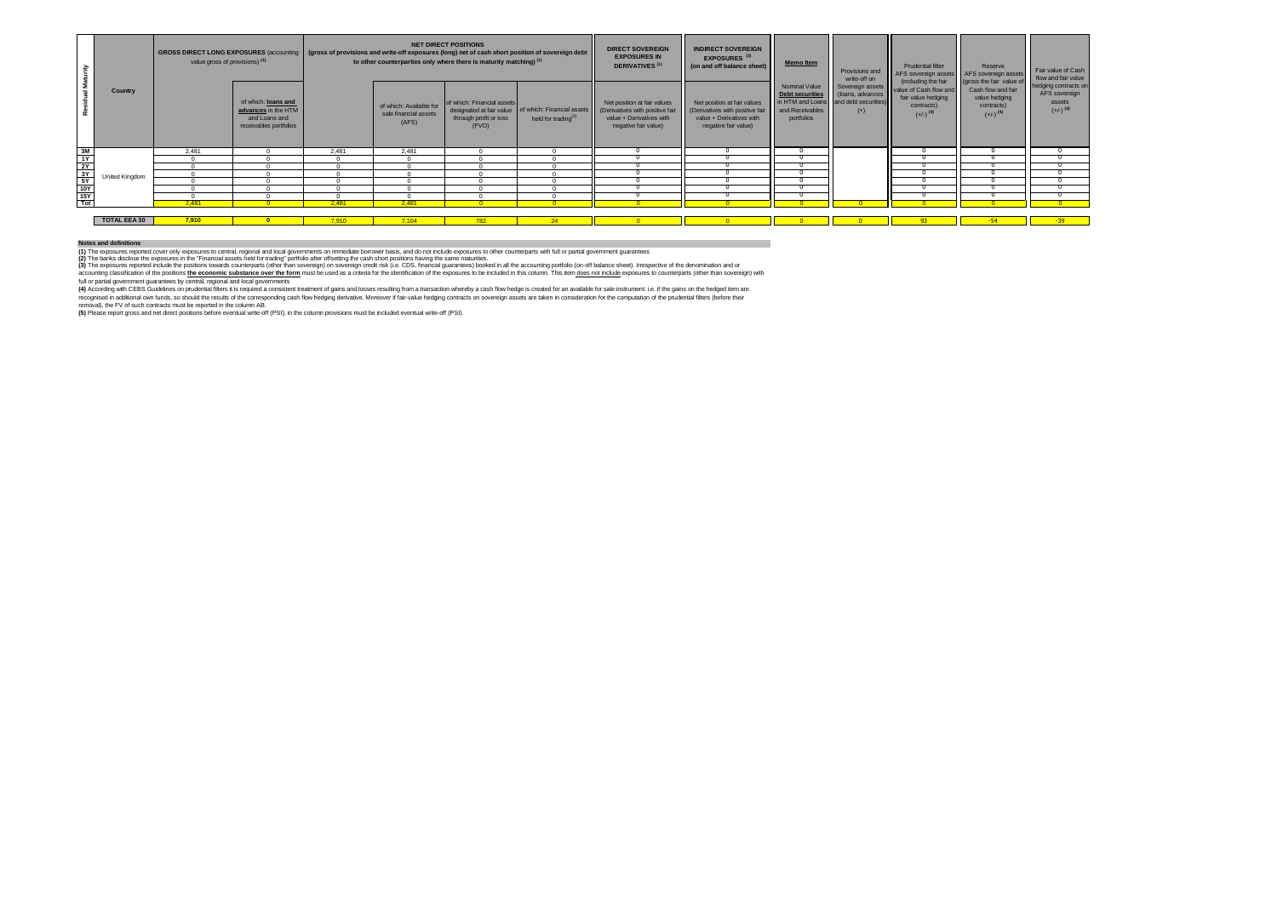|                 |                     | <b>GROSS DIRECT LONG EXPOSURES (accounting)</b><br>value gross of provisions) (1) |                                                                                       | <b>NET DIRECT POSITIONS</b><br>(gross of provisions and write-off exposures (long) net of cash short position of sovereign debt<br>to other counterparties only where there is maturity matching) <sup>(1)</sup> |                                                           |                                                               | <b>DIRECT SOVEREIGN</b><br><b>EXPOSURES IN</b><br><b>DERIVATIVES<sup>(1)</sup></b>       | <b>INDIRECT SOVEREIGN</b><br>EXPOSURES <sup>(3)</sup><br>(on and off balance sheet)                                | <b>Memo Item</b>                                                                                                                   | Provisions and<br>write-off on                                            | <b>Prudential filter</b><br>AFS sovereign assets AFS sovereign assets | Reserve                                                                                                                      | Fair value of Cash<br>flow and fair value                                                               |                                                                           |
|-----------------|---------------------|-----------------------------------------------------------------------------------|---------------------------------------------------------------------------------------|------------------------------------------------------------------------------------------------------------------------------------------------------------------------------------------------------------------|-----------------------------------------------------------|---------------------------------------------------------------|------------------------------------------------------------------------------------------|--------------------------------------------------------------------------------------------------------------------|------------------------------------------------------------------------------------------------------------------------------------|---------------------------------------------------------------------------|-----------------------------------------------------------------------|------------------------------------------------------------------------------------------------------------------------------|---------------------------------------------------------------------------------------------------------|---------------------------------------------------------------------------|
|                 | Country             |                                                                                   | of which: loans and<br>advances in the HTM<br>and Loans and<br>receivables portfolios |                                                                                                                                                                                                                  | of which: Available for<br>sale financial assets<br>(AFS) | of which: Financial assets<br>through profit or loss<br>(FVO) | designated at fair value   of which: Financial assets<br>held for trading <sup>(2)</sup> | Net position at fair values<br>(Derivatives with positive fair<br>value + Derivatives with<br>negative fair value) | Net position at fair values<br>(Derivatives with positive fair and Receivables<br>value + Derivatives with<br>negative fair value) | Nominal Value<br><b>Debt securities</b><br>in HTM and Loans<br>portfolios | (loans, advances<br>and debt securities)<br>$(+)$                     | (including the fair<br>Sovereign assets value of Cash flow and<br>fair value hedging<br>contracts)<br>$(+/-)$ <sup>(4)</sup> | (gross the fair value of<br>Cash flow and fair<br>value hedging<br>contracts)<br>$(+/-)$ <sup>(4)</sup> | hedging contracts on<br>AFS sovereign<br>assets<br>$(+/-)$ <sup>(4)</sup> |
|                 |                     | 2.481                                                                             |                                                                                       | 2.481                                                                                                                                                                                                            | 2.481                                                     |                                                               |                                                                                          |                                                                                                                    |                                                                                                                                    |                                                                           |                                                                       |                                                                                                                              |                                                                                                         |                                                                           |
| <u> 일본 기자 등</u> |                     |                                                                                   |                                                                                       |                                                                                                                                                                                                                  |                                                           |                                                               |                                                                                          |                                                                                                                    |                                                                                                                                    |                                                                           |                                                                       |                                                                                                                              |                                                                                                         |                                                                           |
|                 |                     |                                                                                   |                                                                                       |                                                                                                                                                                                                                  |                                                           |                                                               |                                                                                          |                                                                                                                    |                                                                                                                                    |                                                                           |                                                                       |                                                                                                                              |                                                                                                         |                                                                           |
|                 | Jnited Kingdom      |                                                                                   |                                                                                       |                                                                                                                                                                                                                  |                                                           |                                                               |                                                                                          |                                                                                                                    |                                                                                                                                    |                                                                           |                                                                       |                                                                                                                              |                                                                                                         |                                                                           |
|                 |                     |                                                                                   |                                                                                       |                                                                                                                                                                                                                  |                                                           |                                                               |                                                                                          |                                                                                                                    |                                                                                                                                    |                                                                           |                                                                       |                                                                                                                              |                                                                                                         |                                                                           |
|                 |                     |                                                                                   |                                                                                       |                                                                                                                                                                                                                  |                                                           |                                                               |                                                                                          |                                                                                                                    |                                                                                                                                    |                                                                           |                                                                       |                                                                                                                              |                                                                                                         |                                                                           |
|                 |                     |                                                                                   |                                                                                       |                                                                                                                                                                                                                  |                                                           |                                                               |                                                                                          |                                                                                                                    |                                                                                                                                    |                                                                           |                                                                       |                                                                                                                              |                                                                                                         |                                                                           |
|                 |                     | 2.481                                                                             |                                                                                       | 2,481                                                                                                                                                                                                            | 2,481                                                     |                                                               |                                                                                          |                                                                                                                    |                                                                                                                                    |                                                                           |                                                                       |                                                                                                                              |                                                                                                         |                                                                           |
|                 |                     |                                                                                   |                                                                                       |                                                                                                                                                                                                                  |                                                           |                                                               |                                                                                          |                                                                                                                    |                                                                                                                                    |                                                                           |                                                                       |                                                                                                                              |                                                                                                         |                                                                           |
|                 | <b>TOTAL EEA 30</b> | 7,910                                                                             |                                                                                       | 7.910                                                                                                                                                                                                            | 7.104                                                     |                                                               |                                                                                          |                                                                                                                    |                                                                                                                                    |                                                                           |                                                                       |                                                                                                                              |                                                                                                         | $-39$                                                                     |

#### **Notes and definitions**

(1) The exposures reported cover only apposures to central, regional and local governments on immediate borrower basis, and do not include exposures to other counterparts with full or partial government guarantees.<br>(2) The

(3) The exposures reported include the positions towards counterparts (other than sovereign) on sovereign credit risk (i.e. CDS, financial guarantees) booked in all the accounting portfolio (on-off balance sheet). Irrespec

accounting dassification of the possitions the economic substance over the form must be used as a criteria for the identification of the exposures to be included in this column. This item does not include exposures to coun

(4) According with CEBS Guidelines on prudential filters it is required a consistent treatment of gains and losses resulting from a transaction whereby a cash flow hedge is created for an available for sale instrument: i.e

recognised in additional own funds, so should the results of the corresponding cash flow hedging derivative. Moreover if fair-value hedging contracts on sovereign assets are taken in consideration for the computation of th

removal), the FV of such contracts must be reported in the column AB.<br>**(5)** Please report gross and net direct positions before eventual write-off (PSI); in the column provisions must be included eventual write-off (PSI).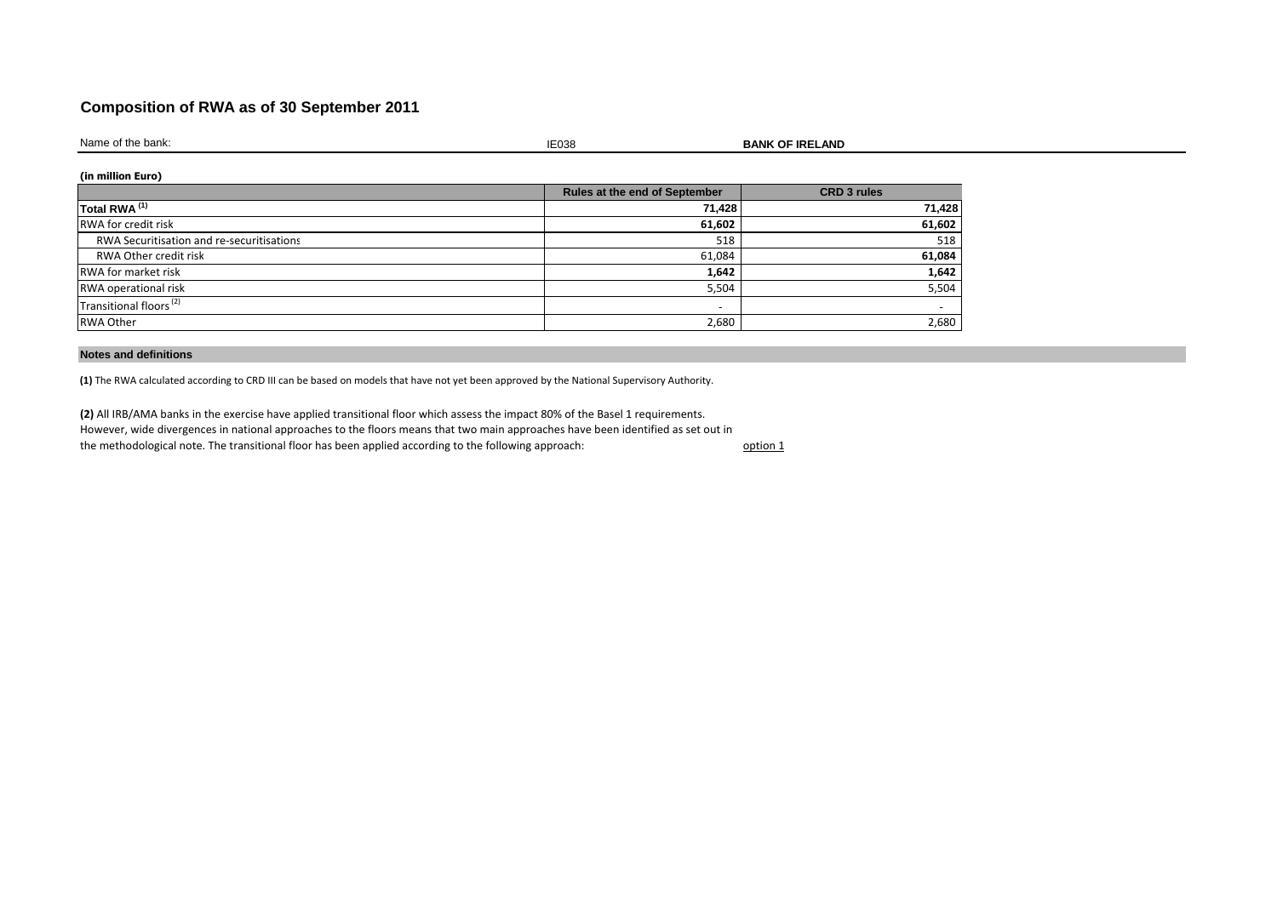## **Composition of RWA as of 30 September 2011**

Name of the bank:

is the contract of the contract of the contract of the contract of the contract of the contract of the contract of the contract of the contract of the contract of the contract of the contract of the contract of the contrac

**BANK OF IRELAND** 

## **(in million Euro)**

|                                           | <b>Rules at the end of September</b> | <b>CRD 3 rules</b>       |
|-------------------------------------------|--------------------------------------|--------------------------|
| Total RWA <sup>(1)</sup>                  | 71,428                               | 71,428                   |
| <b>RWA for credit risk</b>                | 61,602                               | 61,602                   |
| RWA Securitisation and re-securitisations | 518                                  | 518                      |
| RWA Other credit risk                     | 61,084                               | 61,084                   |
| <b>RWA for market risk</b>                | 1,642                                | 1,642                    |
| RWA operational risk                      | 5,504                                | 5,504                    |
| Transitional floors <sup>(2)</sup>        | $\overline{\phantom{0}}$             | $\overline{\phantom{0}}$ |
| <b>RWA Other</b>                          | 2,680                                | 2,680                    |

### **Notes and definitions**

**(1)** The RWA calculated according to CRD III can be based on models that have not yet been approved by the National Supervisory Authority.

**(2)** All IRB/AMA banks in the exercise have applied transitional floor which assess the impact 80% of the Basel 1 requirements. However, wide divergences in national approaches to the floors means that two main approaches have been identified as set out in the methodological note. The transitional floor has been applied according to the following approach:

option 1